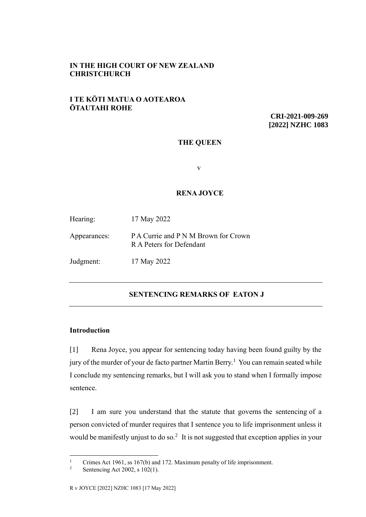# **IN THE HIGH COURT OF NEW ZEALAND CHRISTCHURCH**

# **I TE KŌTI MATUA O AOTEAROA ŌTAUTAHI ROHE**

**CRI-2021-009-269 [2022] NZHC 1083**

## **THE QUEEN**

v

## **RENA JOYCE**

Hearing: 17 May 2022

Appearances: P A Currie and P N M Brown for Crown R A Peters for Defendant

Judgment: 17 May 2022

# **SENTENCING REMARKS OF EATON J**

## **Introduction**

[1] Rena Joyce, you appear for sentencing today having been found guilty by the jury of the murder of your de facto partner Martin Berry.<sup>1</sup> You can remain seated while I conclude my sentencing remarks, but I will ask you to stand when I formally impose sentence.

[2] I am sure you understand that the statute that governs the sentencing of a person convicted of murder requires that I sentence you to life imprisonment unless it would be manifestly unjust to do so.<sup>2</sup> It is not suggested that exception applies in your

<sup>&</sup>lt;sup>1</sup> Crimes Act 1961, ss 167(b) and 172. Maximum penalty of life imprisonment.<br><sup>2</sup> Septensing Act 2002, s 102(1)

Sentencing Act 2002, s 102(1).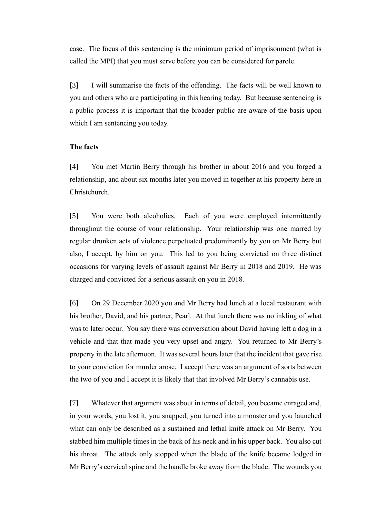case. The focus of this sentencing is the minimum period of imprisonment (what is called the MPI) that you must serve before you can be considered for parole.

[3] I will summarise the facts of the offending. The facts will be well known to you and others who are participating in this hearing today. But because sentencing is a public process it is important that the broader public are aware of the basis upon which I am sentencing you today.

## **The facts**

[4] You met Martin Berry through his brother in about 2016 and you forged a relationship, and about six months later you moved in together at his property here in Christchurch.

[5] You were both alcoholics. Each of you were employed intermittently throughout the course of your relationship. Your relationship was one marred by regular drunken acts of violence perpetuated predominantly by you on Mr Berry but also, I accept, by him on you. This led to you being convicted on three distinct occasions for varying levels of assault against Mr Berry in 2018 and 2019. He was charged and convicted for a serious assault on you in 2018.

[6] On 29 December 2020 you and Mr Berry had lunch at a local restaurant with his brother, David, and his partner, Pearl. At that lunch there was no inkling of what was to later occur. You say there was conversation about David having left a dog in a vehicle and that that made you very upset and angry. You returned to Mr Berry's property in the late afternoon. It was several hours later that the incident that gave rise to your conviction for murder arose. I accept there was an argument of sorts between the two of you and I accept it is likely that that involved Mr Berry's cannabis use.

[7] Whatever that argument was about in terms of detail, you became enraged and, in your words, you lost it, you snapped, you turned into a monster and you launched what can only be described as a sustained and lethal knife attack on Mr Berry. You stabbed him multiple times in the back of his neck and in his upper back. You also cut his throat. The attack only stopped when the blade of the knife became lodged in Mr Berry's cervical spine and the handle broke away from the blade. The wounds you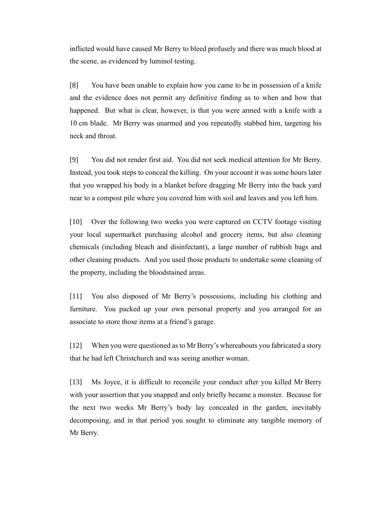inflicted would have caused Mr Berry to bleed profusely and there was much blood at the scene, as evidenced by luminol testing.

[8] You have been unable to explain how you came to be in possession of a knife and the evidence does not permit any definitive finding as to when and how that happened. But what is clear, however, is that you were armed with a knife with a 10 cm blade. Mr Berry was unarmed and you repeatedly stabbed him, targeting his neck and throat.

[9] You did not render first aid. You did not seek medical attention for Mr Berry. Instead, you took steps to conceal the killing. On your account it was some hours later that you wrapped his body in a blanket before dragging Mr Berry into the back yard near to a compost pile where you covered him with soil and leaves and you left him.

[10] Over the following two weeks you were captured on CCTV footage visiting your local supermarket purchasing alcohol and grocery items, but also cleaning chemicals (including bleach and disinfectant), a large number of rubbish bags and other cleaning products. And you used those products to undertake some cleaning of the property, including the bloodstained areas.

[11] You also disposed of Mr Berry's possessions, including his clothing and furniture. You packed up your own personal property and you arranged for an associate to store those items at a friend's garage.

[12] When you were questioned as to Mr Berry's whereabouts you fabricated a story that he had left Christchurch and was seeing another woman.

[13] Ms Joyce, it is difficult to reconcile your conduct after you killed Mr Berry with your assertion that you snapped and only briefly became a monster. Because for the next two weeks Mr Berry's body lay concealed in the garden, inevitably decomposing, and in that period you sought to eliminate any tangible memory of Mr Berry.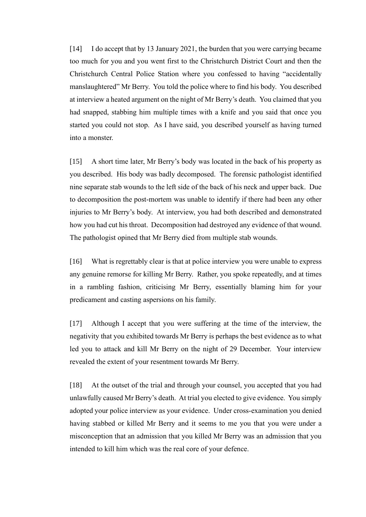[14] I do accept that by 13 January 2021, the burden that you were carrying became too much for you and you went first to the Christchurch District Court and then the Christchurch Central Police Station where you confessed to having "accidentally manslaughtered" Mr Berry. You told the police where to find his body. You described at interview a heated argument on the night of Mr Berry's death. You claimed that you had snapped, stabbing him multiple times with a knife and you said that once you started you could not stop. As I have said, you described yourself as having turned into a monster.

[15] A short time later, Mr Berry's body was located in the back of his property as you described. His body was badly decomposed. The forensic pathologist identified nine separate stab wounds to the left side of the back of his neck and upper back. Due to decomposition the post-mortem was unable to identify if there had been any other injuries to Mr Berry's body. At interview, you had both described and demonstrated how you had cut his throat. Decomposition had destroyed any evidence of that wound. The pathologist opined that Mr Berry died from multiple stab wounds.

[16] What is regrettably clear is that at police interview you were unable to express any genuine remorse for killing Mr Berry. Rather, you spoke repeatedly, and at times in a rambling fashion, criticising Mr Berry, essentially blaming him for your predicament and casting aspersions on his family.

[17] Although I accept that you were suffering at the time of the interview, the negativity that you exhibited towards Mr Berry is perhaps the best evidence as to what led you to attack and kill Mr Berry on the night of 29 December. Your interview revealed the extent of your resentment towards Mr Berry.

[18] At the outset of the trial and through your counsel, you accepted that you had unlawfully caused Mr Berry's death. At trial you elected to give evidence. You simply adopted your police interview as your evidence. Under cross-examination you denied having stabbed or killed Mr Berry and it seems to me you that you were under a misconception that an admission that you killed Mr Berry was an admission that you intended to kill him which was the real core of your defence.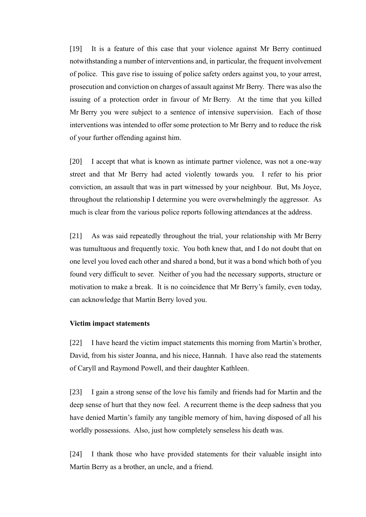[19] It is a feature of this case that your violence against Mr Berry continued notwithstanding a number of interventions and, in particular, the frequent involvement of police. This gave rise to issuing of police safety orders against you, to your arrest, prosecution and conviction on charges of assault against Mr Berry. There was also the issuing of a protection order in favour of Mr Berry. At the time that you killed Mr Berry you were subject to a sentence of intensive supervision. Each of those interventions was intended to offer some protection to Mr Berry and to reduce the risk of your further offending against him.

[20] I accept that what is known as intimate partner violence, was not a one-way street and that Mr Berry had acted violently towards you. I refer to his prior conviction, an assault that was in part witnessed by your neighbour. But, Ms Joyce, throughout the relationship I determine you were overwhelmingly the aggressor. As much is clear from the various police reports following attendances at the address.

[21] As was said repeatedly throughout the trial, your relationship with Mr Berry was tumultuous and frequently toxic. You both knew that, and I do not doubt that on one level you loved each other and shared a bond, but it was a bond which both of you found very difficult to sever. Neither of you had the necessary supports, structure or motivation to make a break. It is no coincidence that Mr Berry's family, even today, can acknowledge that Martin Berry loved you.

#### **Victim impact statements**

[22] I have heard the victim impact statements this morning from Martin's brother, David, from his sister Joanna, and his niece, Hannah. I have also read the statements of Caryll and Raymond Powell, and their daughter Kathleen.

[23] I gain a strong sense of the love his family and friends had for Martin and the deep sense of hurt that they now feel. A recurrent theme is the deep sadness that you have denied Martin's family any tangible memory of him, having disposed of all his worldly possessions. Also, just how completely senseless his death was.

[24] I thank those who have provided statements for their valuable insight into Martin Berry as a brother, an uncle, and a friend.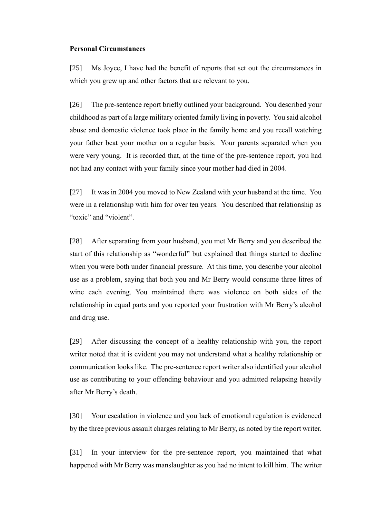#### **Personal Circumstances**

[25] Ms Joyce, I have had the benefit of reports that set out the circumstances in which you grew up and other factors that are relevant to you.

[26] The pre-sentence report briefly outlined your background. You described your childhood as part of a large military oriented family living in poverty. You said alcohol abuse and domestic violence took place in the family home and you recall watching your father beat your mother on a regular basis. Your parents separated when you were very young. It is recorded that, at the time of the pre-sentence report, you had not had any contact with your family since your mother had died in 2004.

[27] It was in 2004 you moved to New Zealand with your husband at the time. You were in a relationship with him for over ten years. You described that relationship as "toxic" and "violent".

[28] After separating from your husband, you met Mr Berry and you described the start of this relationship as "wonderful" but explained that things started to decline when you were both under financial pressure. At this time, you describe your alcohol use as a problem, saying that both you and Mr Berry would consume three litres of wine each evening. You maintained there was violence on both sides of the relationship in equal parts and you reported your frustration with Mr Berry's alcohol and drug use.

[29] After discussing the concept of a healthy relationship with you, the report writer noted that it is evident you may not understand what a healthy relationship or communication looks like. The pre-sentence report writer also identified your alcohol use as contributing to your offending behaviour and you admitted relapsing heavily after Mr Berry's death.

[30] Your escalation in violence and you lack of emotional regulation is evidenced by the three previous assault charges relating to Mr Berry, as noted by the report writer.

[31] In your interview for the pre-sentence report, you maintained that what happened with Mr Berry was manslaughter as you had no intent to kill him. The writer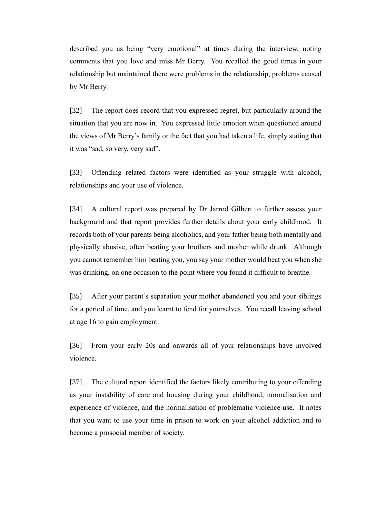described you as being "very emotional" at times during the interview, noting comments that you love and miss Mr Berry. You recalled the good times in your relationship but maintained there were problems in the relationship, problems caused by Mr Berry.

[32] The report does record that you expressed regret, but particularly around the situation that you are now in. You expressed little emotion when questioned around the views of Mr Berry's family or the fact that you had taken a life, simply stating that it was "sad, so very, very sad".

[33] Offending related factors were identified as your struggle with alcohol, relationships and your use of violence.

[34] A cultural report was prepared by Dr Jarrod Gilbert to further assess your background and that report provides further details about your early childhood. It records both of your parents being alcoholics, and your father being both mentally and physically abusive, often beating your brothers and mother while drunk. Although you cannot remember him beating you, you say your mother would beat you when she was drinking, on one occasion to the point where you found it difficult to breathe.

[35] After your parent's separation your mother abandoned you and your siblings for a period of time, and you learnt to fend for yourselves. You recall leaving school at age 16 to gain employment.

[36] From your early 20s and onwards all of your relationships have involved violence.

[37] The cultural report identified the factors likely contributing to your offending as your instability of care and housing during your childhood, normalisation and experience of violence, and the normalisation of problematic violence use. It notes that you want to use your time in prison to work on your alcohol addiction and to become a prosocial member of society.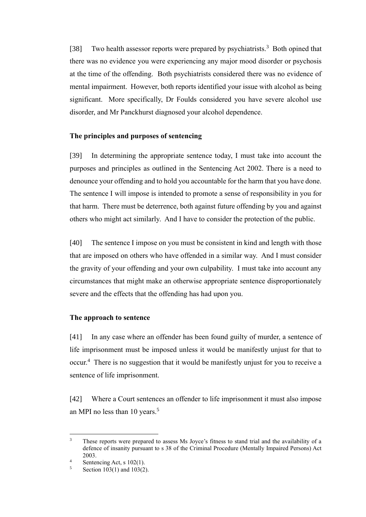[38] Two health assessor reports were prepared by psychiatrists.<sup>3</sup> Both opined that there was no evidence you were experiencing any major mood disorder or psychosis at the time of the offending. Both psychiatrists considered there was no evidence of mental impairment. However, both reports identified your issue with alcohol as being significant. More specifically, Dr Foulds considered you have severe alcohol use disorder, and Mr Panckhurst diagnosed your alcohol dependence.

## **The principles and purposes of sentencing**

[39] In determining the appropriate sentence today, I must take into account the purposes and principles as outlined in the Sentencing Act 2002. There is a need to denounce your offending and to hold you accountable for the harm that you have done. The sentence I will impose is intended to promote a sense of responsibility in you for that harm. There must be deterrence, both against future offending by you and against others who might act similarly. And I have to consider the protection of the public.

[40] The sentence I impose on you must be consistent in kind and length with those that are imposed on others who have offended in a similar way. And I must consider the gravity of your offending and your own culpability. I must take into account any circumstances that might make an otherwise appropriate sentence disproportionately severe and the effects that the offending has had upon you.

#### **The approach to sentence**

[41] In any case where an offender has been found guilty of murder, a sentence of life imprisonment must be imposed unless it would be manifestly unjust for that to occur.<sup>4</sup> There is no suggestion that it would be manifestly unjust for you to receive a sentence of life imprisonment.

[42] Where a Court sentences an offender to life imprisonment it must also impose an MPI no less than 10 years.<sup>5</sup>

<sup>&</sup>lt;sup>3</sup> These reports were prepared to assess Ms Joyce's fitness to stand trial and the availability of a defence of insanity pursuant to s 38 of the Criminal Procedure (Mentally Impaired Persons) Act 2003.

<sup>4</sup> Sentencing Act, s 102(1).<br> $5 \qquad$  Section 103(1) and 103(2)

Section  $103(1)$  and  $103(2)$ .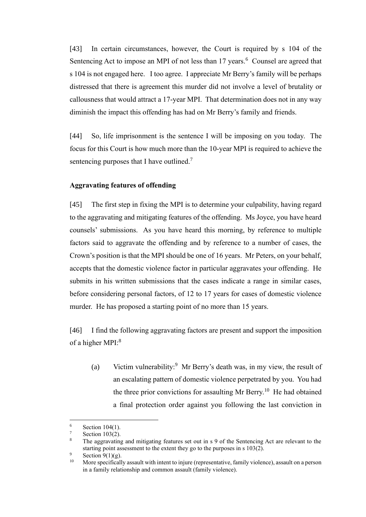[43] In certain circumstances, however, the Court is required by s 104 of the Sentencing Act to impose an MPI of not less than 17 years.<sup>6</sup> Counsel are agreed that s 104 is not engaged here. I too agree. I appreciate Mr Berry's family will be perhaps distressed that there is agreement this murder did not involve a level of brutality or callousness that would attract a 17-year MPI. That determination does not in any way diminish the impact this offending has had on Mr Berry's family and friends.

[44] So, life imprisonment is the sentence I will be imposing on you today. The focus for this Court is how much more than the 10-year MPI is required to achieve the sentencing purposes that I have outlined.<sup>7</sup>

#### **Aggravating features of offending**

[45] The first step in fixing the MPI is to determine your culpability, having regard to the aggravating and mitigating features of the offending. Ms Joyce, you have heard counsels' submissions. As you have heard this morning, by reference to multiple factors said to aggravate the offending and by reference to a number of cases, the Crown's position is that the MPI should be one of 16 years. Mr Peters, on your behalf, accepts that the domestic violence factor in particular aggravates your offending. He submits in his written submissions that the cases indicate a range in similar cases, before considering personal factors, of 12 to 17 years for cases of domestic violence murder. He has proposed a starting point of no more than 15 years.

[46] I find the following aggravating factors are present and support the imposition of a higher MPI:<sup>8</sup>

(a) Victim vulnerability:<sup>9</sup> Mr Berry's death was, in my view, the result of an escalating pattern of domestic violence perpetrated by you. You had the three prior convictions for assaulting Mr Berry.<sup>10</sup> He had obtained a final protection order against you following the last conviction in

 $\frac{6}{7}$  Section 104(1).

Section 103(2).

<sup>8</sup> The aggravating and mitigating features set out in s 9 of the Sentencing Act are relevant to the starting point assessment to the extent they go to the purposes in s 103(2).

 $\frac{9}{10}$  Section 9(1)(g).

More specifically assault with intent to injure (representative, family violence), assault on a person in a family relationship and common assault (family violence).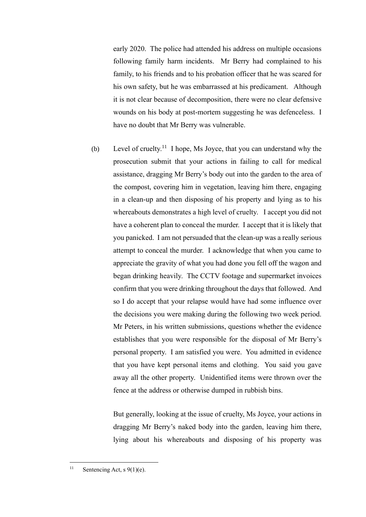early 2020. The police had attended his address on multiple occasions following family harm incidents. Mr Berry had complained to his family, to his friends and to his probation officer that he was scared for his own safety, but he was embarrassed at his predicament. Although it is not clear because of decomposition, there were no clear defensive wounds on his body at post-mortem suggesting he was defenceless. I have no doubt that Mr Berry was vulnerable.

(b) Level of cruelty.<sup>11</sup> I hope, Ms Joyce, that you can understand why the prosecution submit that your actions in failing to call for medical assistance, dragging Mr Berry's body out into the garden to the area of the compost, covering him in vegetation, leaving him there, engaging in a clean-up and then disposing of his property and lying as to his whereabouts demonstrates a high level of cruelty. I accept you did not have a coherent plan to conceal the murder. I accept that it is likely that you panicked. I am not persuaded that the clean-up was a really serious attempt to conceal the murder. I acknowledge that when you came to appreciate the gravity of what you had done you fell off the wagon and began drinking heavily. The CCTV footage and supermarket invoices confirm that you were drinking throughout the days that followed. And so I do accept that your relapse would have had some influence over the decisions you were making during the following two week period. Mr Peters, in his written submissions, questions whether the evidence establishes that you were responsible for the disposal of Mr Berry's personal property. I am satisfied you were. You admitted in evidence that you have kept personal items and clothing. You said you gave away all the other property. Unidentified items were thrown over the fence at the address or otherwise dumped in rubbish bins.

But generally, looking at the issue of cruelty, Ms Joyce, your actions in dragging Mr Berry's naked body into the garden, leaving him there, lying about his whereabouts and disposing of his property was

<sup>&</sup>lt;sup>11</sup> Sentencing Act, s  $9(1)(e)$ .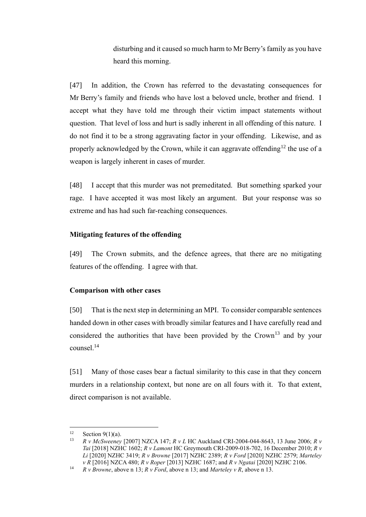disturbing and it caused so much harm to Mr Berry's family as you have heard this morning.

[47] In addition, the Crown has referred to the devastating consequences for Mr Berry's family and friends who have lost a beloved uncle, brother and friend. I accept what they have told me through their victim impact statements without question. That level of loss and hurt is sadly inherent in all offending of this nature. I do not find it to be a strong aggravating factor in your offending. Likewise, and as properly acknowledged by the Crown, while it can aggravate offending<sup>12</sup> the use of a weapon is largely inherent in cases of murder.

[48] I accept that this murder was not premeditated. But something sparked your rage. I have accepted it was most likely an argument. But your response was so extreme and has had such far-reaching consequences.

## **Mitigating features of the offending**

[49] The Crown submits, and the defence agrees, that there are no mitigating features of the offending. I agree with that.

## **Comparison with other cases**

<span id="page-10-0"></span>[50] That is the next step in determining an MPI. To consider comparable sentences handed down in other cases with broadly similar features and I have carefully read and considered the authorities that have been provided by the Crown<sup>13</sup> and by your counsel.<sup>14</sup>

[51] Many of those cases bear a factual similarity to this case in that they concern murders in a relationship context, but none are on all fours with it. To that extent, direct comparison is not available.

<sup>&</sup>lt;sup>12</sup> Section 9(1)(a).<br><sup>13</sup> R.v. McSweeney

<sup>13</sup> *R v McSweeney* [2007] NZCA 147; *R v L* HC Auckland CRI-2004-044-8643, 13 June 2006; *R v Tai* [2018] NZHC 1602; *R v Lamont* HC Greymouth CRI-2009-018-702, 16 December 2010; *R v Li* [2020] NZHC 3419; *R v Browne* [2017] NZHC 2389; *R v Ford* [2020] NZHC 2579; *Marteley v R* [2016] NZCA 480; *R v Roper* [2013] NZHC 1687; and *R v Ngatai* [2020] NZHC 2106.

<sup>14</sup> *R v Browne*, above n [13;](#page-10-0) *R v Ford*, above n [13;](#page-10-0) and *Marteley v R*, above n [13.](#page-10-0)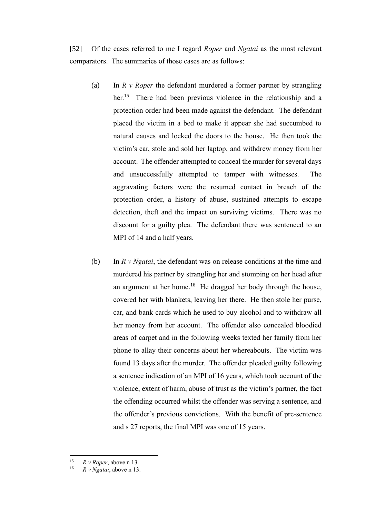[52] Of the cases referred to me I regard *Roper* and *Ngatai* as the most relevant comparators. The summaries of those cases are as follows:

- (a) In *R v Roper* the defendant murdered a former partner by strangling her.<sup>15</sup> There had been previous violence in the relationship and a protection order had been made against the defendant. The defendant placed the victim in a bed to make it appear she had succumbed to natural causes and locked the doors to the house. He then took the victim's car, stole and sold her laptop, and withdrew money from her account. The offender attempted to conceal the murder for several days and unsuccessfully attempted to tamper with witnesses. The aggravating factors were the resumed contact in breach of the protection order, a history of abuse, sustained attempts to escape detection, theft and the impact on surviving victims. There was no discount for a guilty plea. The defendant there was sentenced to an MPI of 14 and a half years.
- (b) In *R v Ngatai*, the defendant was on release conditions at the time and murdered his partner by strangling her and stomping on her head after an argument at her home.<sup>16</sup> He dragged her body through the house, covered her with blankets, leaving her there. He then stole her purse, car, and bank cards which he used to buy alcohol and to withdraw all her money from her account. The offender also concealed bloodied areas of carpet and in the following weeks texted her family from her phone to allay their concerns about her whereabouts. The victim was found 13 days after the murder. The offender pleaded guilty following a sentence indication of an MPI of 16 years, which took account of the violence, extent of harm, abuse of trust as the victim's partner, the fact the offending occurred whilst the offender was serving a sentence, and the offender's previous convictions. With the benefit of pre-sentence and s 27 reports, the final MPI was one of 15 years.

<sup>15</sup> *R v Roper*, above [n 13.](#page-10-0)

<sup>16</sup> *R v Ngatai*, above n [13.](#page-10-0)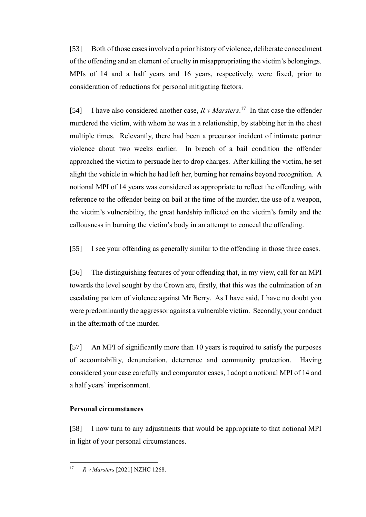[53] Both of those cases involved a prior history of violence, deliberate concealment of the offending and an element of cruelty in misappropriating the victim's belongings. MPIs of 14 and a half years and 16 years, respectively, were fixed, prior to consideration of reductions for personal mitigating factors.

[54] I have also considered another case,  $R v$  Marsters.<sup>17</sup> In that case the offender murdered the victim, with whom he was in a relationship, by stabbing her in the chest multiple times. Relevantly, there had been a precursor incident of intimate partner violence about two weeks earlier. In breach of a bail condition the offender approached the victim to persuade her to drop charges. After killing the victim, he set alight the vehicle in which he had left her, burning her remains beyond recognition. A notional MPI of 14 years was considered as appropriate to reflect the offending, with reference to the offender being on bail at the time of the murder, the use of a weapon, the victim's vulnerability, the great hardship inflicted on the victim's family and the callousness in burning the victim's body in an attempt to conceal the offending.

[55] I see your offending as generally similar to the offending in those three cases.

[56] The distinguishing features of your offending that, in my view, call for an MPI towards the level sought by the Crown are, firstly, that this was the culmination of an escalating pattern of violence against Mr Berry. As I have said, I have no doubt you were predominantly the aggressor against a vulnerable victim. Secondly, your conduct in the aftermath of the murder.

[57] An MPI of significantly more than 10 years is required to satisfy the purposes of accountability, denunciation, deterrence and community protection. Having considered your case carefully and comparator cases, I adopt a notional MPI of 14 and a half years' imprisonment.

## **Personal circumstances**

[58] I now turn to any adjustments that would be appropriate to that notional MPI in light of your personal circumstances.

<sup>17</sup> *R v Marsters* [2021] NZHC 1268.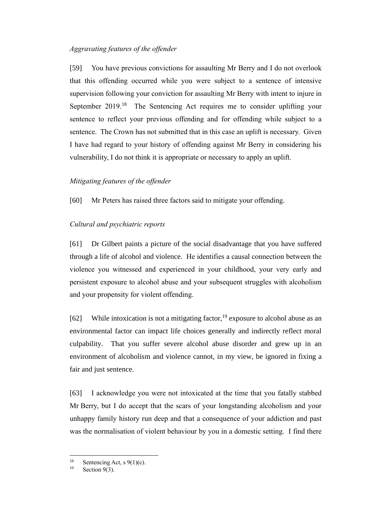## *Aggravating features of the offender*

[59] You have previous convictions for assaulting Mr Berry and I do not overlook that this offending occurred while you were subject to a sentence of intensive supervision following your conviction for assaulting Mr Berry with intent to injure in September 2019.<sup>18</sup> The Sentencing Act requires me to consider uplifting your sentence to reflect your previous offending and for offending while subject to a sentence. The Crown has not submitted that in this case an uplift is necessary. Given I have had regard to your history of offending against Mr Berry in considering his vulnerability, I do not think it is appropriate or necessary to apply an uplift.

# *Mitigating features of the offender*

[60] Mr Peters has raised three factors said to mitigate your offending.

# *Cultural and psychiatric reports*

[61] Dr Gilbert paints a picture of the social disadvantage that you have suffered through a life of alcohol and violence. He identifies a causal connection between the violence you witnessed and experienced in your childhood, your very early and persistent exposure to alcohol abuse and your subsequent struggles with alcoholism and your propensity for violent offending.

[62] While intoxication is not a mitigating factor,  $19$  exposure to alcohol abuse as an environmental factor can impact life choices generally and indirectly reflect moral culpability. That you suffer severe alcohol abuse disorder and grew up in an environment of alcoholism and violence cannot, in my view, be ignored in fixing a fair and just sentence.

[63] I acknowledge you were not intoxicated at the time that you fatally stabbed Mr Berry, but I do accept that the scars of your longstanding alcoholism and your unhappy family history run deep and that a consequence of your addiction and past was the normalisation of violent behaviour by you in a domestic setting. I find there

<sup>&</sup>lt;sup>18</sup> Sentencing Act, s 9(1)(c).<br><sup>19</sup> Section  $0(2)$ .

Section 9(3).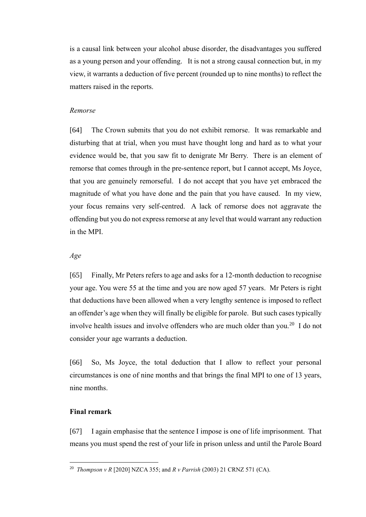is a causal link between your alcohol abuse disorder, the disadvantages you suffered as a young person and your offending. It is not a strong causal connection but, in my view, it warrants a deduction of five percent (rounded up to nine months) to reflect the matters raised in the reports.

## *Remorse*

[64] The Crown submits that you do not exhibit remorse. It was remarkable and disturbing that at trial, when you must have thought long and hard as to what your evidence would be, that you saw fit to denigrate Mr Berry. There is an element of remorse that comes through in the pre-sentence report, but I cannot accept, Ms Joyce, that you are genuinely remorseful. I do not accept that you have yet embraced the magnitude of what you have done and the pain that you have caused. In my view, your focus remains very self-centred. A lack of remorse does not aggravate the offending but you do not express remorse at any level that would warrant any reduction in the MPI.

#### *Age*

[65] Finally, Mr Peters refers to age and asks for a 12-month deduction to recognise your age. You were 55 at the time and you are now aged 57 years. Mr Peters is right that deductions have been allowed when a very lengthy sentence is imposed to reflect an offender's age when they will finally be eligible for parole. But such cases typically involve health issues and involve offenders who are much older than you.<sup>20</sup> I do not consider your age warrants a deduction.

[66] So, Ms Joyce, the total deduction that I allow to reflect your personal circumstances is one of nine months and that brings the final MPI to one of 13 years, nine months.

## **Final remark**

[67] I again emphasise that the sentence I impose is one of life imprisonment. That means you must spend the rest of your life in prison unless and until the Parole Board

<sup>20</sup> *Thompson v R* [2020] NZCA 355; and *R v Parrish* (2003) 21 CRNZ 571 (CA).